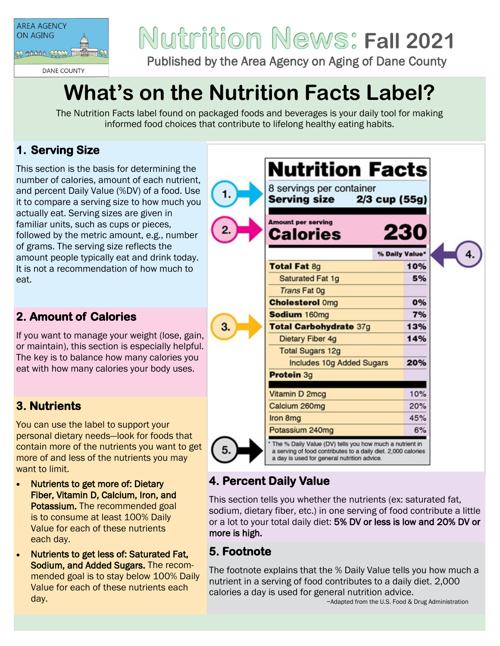

# **Fall 2021**

Published by the Area Agency on Aging of Dane County

# **What's on the Nutrition Facts Label?**

The Nutrition Facts label found on packaged foods and beverages is your daily tool for making informed food choices that contribute to lifelong healthy eating habits.

 $1.$ 

3.

5.

# **1. Serving Size**

This section is the basis for determining the number of calories, amount of each nutrient, and percent Daily Value (%DV) of a food. Use it to compare a serving size to how much you actually eat. Serving sizes are given in familiar units, such as cups or pieces, followed by the metric amount, e.g., number of grams. The serving size reflects the amount people typically eat and drink today. It is not a recommendation of how much to eat.

### **2. Amount of Calories**

If you want to manage your weight (lose, gain, or maintain), this section is especially helpful. The key is to balance how many calories you eat with how many calories your body uses.

# **3. Nutrients**

You can use the label to support your personal dietary needs—look for foods that contain more of the nutrients you want to get more of and less of the nutrients you may want to limit.

- Nutrients to get more of: Dietary Fiber, Vitamin D, Calcium, Iron, and Potassium. The recommended goal is to consume at least 100% Daily Value for each of these nutrients each day.
- Nutrients to get less of: Saturated Fat, Sodium, and Added Sugars. The recommended goal is to stay below 100% Daily Value for each of these nutrients each day.

| 8 servings per container<br>2/3 cup (55g)<br>Serving size |                |
|-----------------------------------------------------------|----------------|
| <b>Amount per serving</b><br>Calories                     | 230            |
|                                                           | % Daily Value* |
| <b>Total Fat 8g</b>                                       | 10%            |
| <b>Saturated Fat 1g</b>                                   | 5%             |
| <b>Trans Fat Og</b>                                       |                |
| <b>Cholesterol Omg</b>                                    | 0%             |
| Sodium 160mg                                              | 7%             |
| Total Carbohydrate 37g                                    | 13%            |
| <b>Dietary Fiber 4g</b>                                   | 14%            |
| <b>Total Sugars 12g</b>                                   |                |
| <b>Includes 10g Added Sugars</b>                          | 20%            |
| Protein 3g                                                |                |
| Vitamin D 2mcg                                            | 10%            |
| Calcium 260mg                                             | 20%            |
| Iron 8mg                                                  | 45%            |
| Potassium 240mg                                           | 6%             |

#### **4. Percent Daily Value**

This section tells you whether the nutrients (ex: saturated fat, sodium, dietary fiber, etc.) in one serving of food contribute a little or a lot to your total daily diet: 5% DV or less is low and 20% DV or more is high.

# **5. Footnote**

The footnote explains that the % Daily Value tells you how much a nutrient in a serving of food contributes to a daily diet. 2,000 calories a day is used for general nutrition advice.

~Adapted from the U.S. Food & Drug Administration